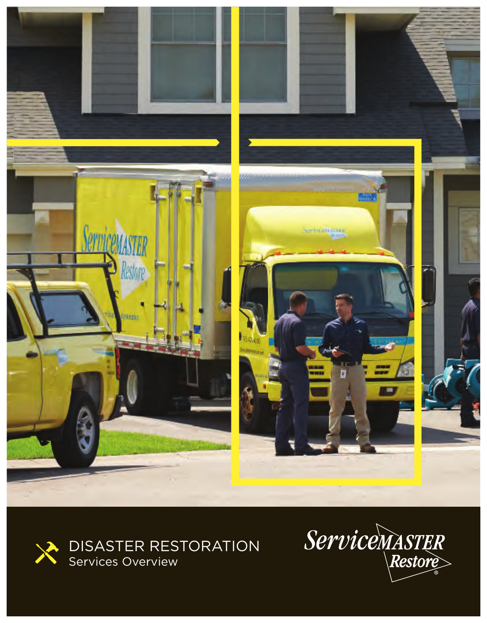



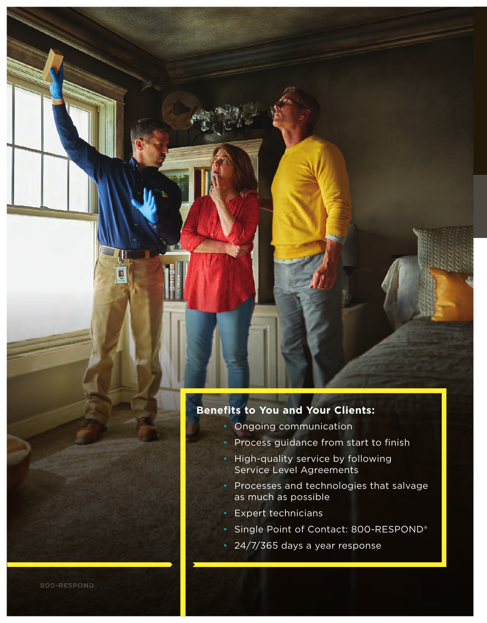#### **Benefits to You and Your Clients:**

- Ongoing communication
- Process guidance from start to finish
- High-quality service by following Service Level Agreements
- Processes and technologies that salvage as much as possible
- Expert technicians
- Single Point of Contact: 800-RESPOND®
- 24/7/365 days a year response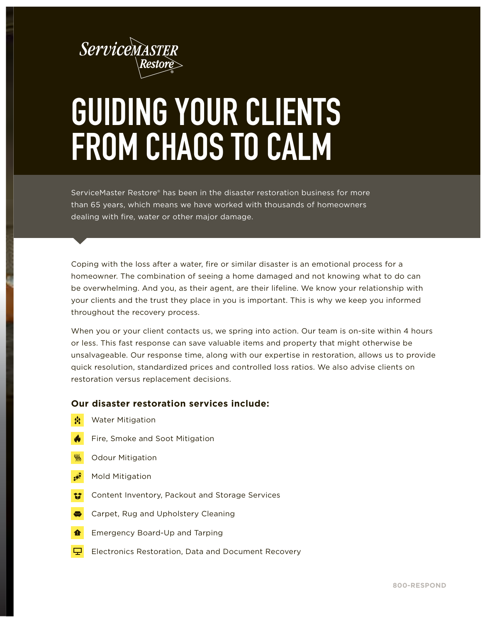

# **GUIDING YOUR CLIENTS FROM CHAOS TO CALM**

ServiceMaster Restore® has been in the disaster restoration business for more than 65 years, which means we have worked with thousands of homeowners dealing with fire, water or other major damage.

Coping with the loss after a water, fire or similar disaster is an emotional process for a homeowner. The combination of seeing a home damaged and not knowing what to do can be overwhelming. And you, as their agent, are their lifeline. We know your relationship with your clients and the trust they place in you is important. This is why we keep you informed throughout the recovery process.

When you or your client contacts us, we spring into action. Our team is on-site within 4 hours or less. This fast response can save valuable items and property that might otherwise be unsalvageable. Our response time, along with our expertise in restoration, allows us to provide quick resolution, standardized prices and controlled loss ratios. We also advise clients on restoration versus replacement decisions.

#### **Our disaster restoration services include:**

- $\frac{1}{2}$ Water Mitigation
- $\clubsuit$ Fire, Smoke and Soot Mitigation
- $\frac{1}{2}$ Odour Mitigation
- $\ddot{\bullet}$ Mold Mitigation
- 锰 Content Inventory, Packout and Storage Services
- 8 Carpet, Rug and Upholstery Cleaning
- 合 Emergency Board-Up and Tarping
- $\Box$ Electronics Restoration, Data and Document Recovery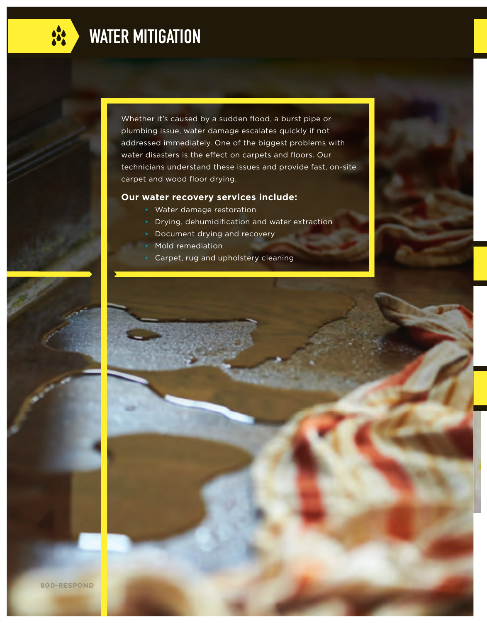

Whether it's caused by a sudden flood, a burst pipe or plumbing issue, water damage escalates quickly if not addressed immediately. One of the biggest problems with water disasters is the effect on carpets and floors. Our technicians understand these issues and provide fast, on-site carpet and wood floor drying.

#### **Our water recovery services include:**

- Water damage restoration
	- Drying, dehumidification and water extraction
	- Document drying and recovery
- Mold remediation
- Carpet, rug and upholstery cleaning

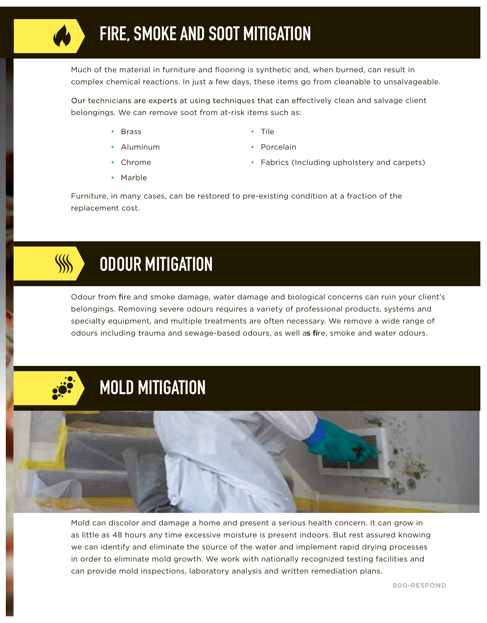Much of the material in furniture and flooring is synthetic and, when burned, can result in complex chemical reactions. In just a few days, these items go from cleanable to unsalvageable.

Our technicians are experts at using techniques that can effectively clean and salvage client belongings. We can remove soot from at-risk items such as:

- Brass
- Aluminum
- Tile
- Porcelain
- Fabrics (Including upholstery and carpets)

• Chrome • Marble

Furniture, in many cases, can be restored to pre-existing condition at a fraction of the replacement cost.



Odour from fire and smoke damage, water damage and biological concerns can ruin your client's belongings. Removing severe odours requires a variety of professional products, systems and specialty equipment, and multiple treatments are often necessary. We remove a wide range of odours including trauma and sewage-based odours, as well as fire, smoke and water odours.





Mold can discolor and damage a home and present a serious health concern. It can grow in as little as 48 hours any time excessive moisture is present indoors. But rest assured knowing we can identify and eliminate the source of the water and implement rapid drying processes in order to eliminate mold growth. We work with nationally recognized testing facilities and can provide mold inspections, laboratory analysis and written remediation plans.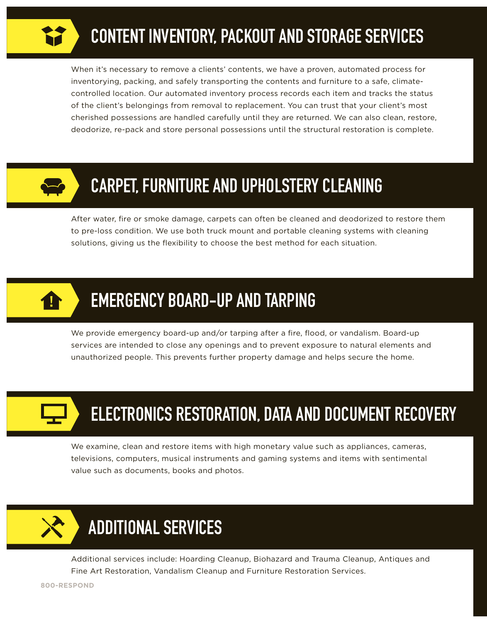### **CONTENT INVENTORY, PACKOUT AND STORAGE SERVICES**

When it's necessary to remove a clients' contents, we have a proven, automated process for inventorying, packing, and safely transporting the contents and furniture to a safe, climatecontrolled location. Our automated inventory process records each item and tracks the status of the client's belongings from removal to replacement. You can trust that your client's most cherished possessions are handled carefully until they are returned. We can also clean, restore, deodorize, re-pack and store personal possessions until the structural restoration is complete.



### **CARPET, FURNITURE AND UPHOLSTERY CLEANING**

After water, fire or smoke damage, carpets can often be cleaned and deodorized to restore them to pre-loss condition. We use both truck mount and portable cleaning systems with cleaning solutions, giving us the flexibility to choose the best method for each situation.



### **EMERGENCY BOARD-UP AND TARPING**

We provide emergency board-up and/or tarping after a fire, flood, or vandalism. Board-up services are intended to close any openings and to prevent exposure to natural elements and unauthorized people. This prevents further property damage and helps secure the home.



### **ELECTRONICS RESTORATION, DATA AND DOCUMENT RECOVERY**

We examine, clean and restore items with high monetary value such as appliances, cameras, televisions, computers, musical instruments and gaming systems and items with sentimental value such as documents, books and photos.



Additional services include: Hoarding Cleanup, Biohazard and Trauma Cleanup, Antiques and Fine Art Restoration, Vandalism Cleanup and Furniture Restoration Services.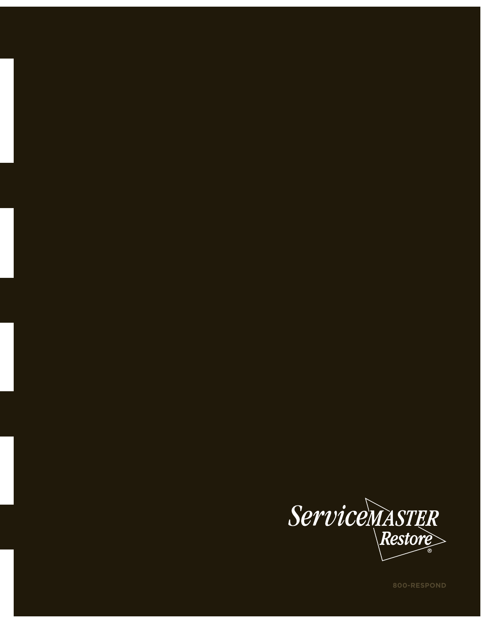

**800-RESPOND**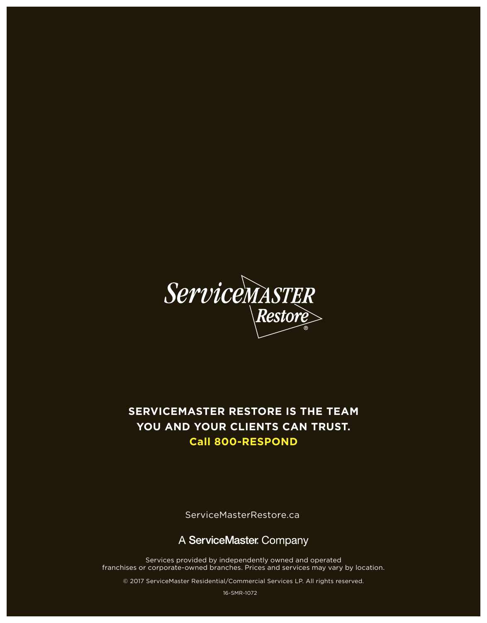

#### **SERVICEMASTER RESTORE IS THE TEAM YOU AND YOUR CLIENTS CAN TRUST. Call 800-RESPOND**

ServiceMasterRestore.ca

#### A ServiceMaster Company

Services provided by independently owned and operated franchises or corporate-owned branches. Prices and services may vary by location.

© 2017 ServiceMaster Residential/Commercial Services LP. All rights reserved.